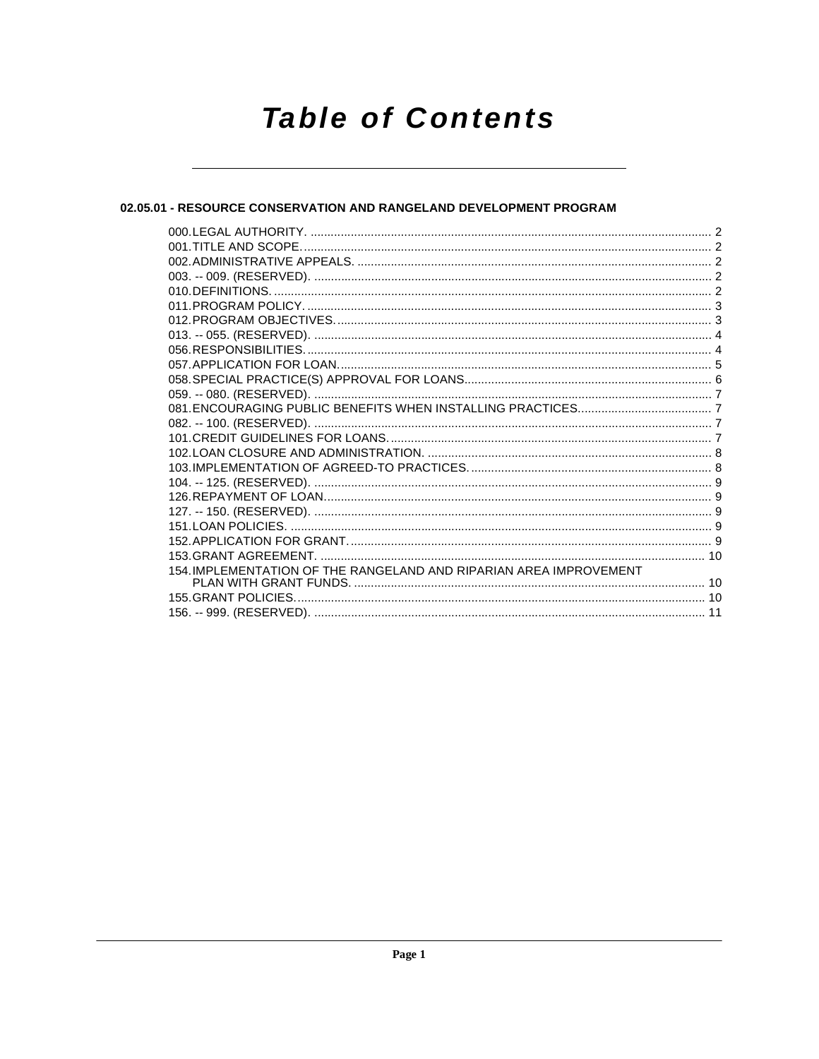# **Table of Contents**

# 02.05.01 - RESOURCE CONSERVATION AND RANGELAND DEVELOPMENT PROGRAM

| 154. IMPLEMENTATION OF THE RANGELAND AND RIPARIAN AREA IMPROVEMENT |  |
|--------------------------------------------------------------------|--|
|                                                                    |  |
|                                                                    |  |
|                                                                    |  |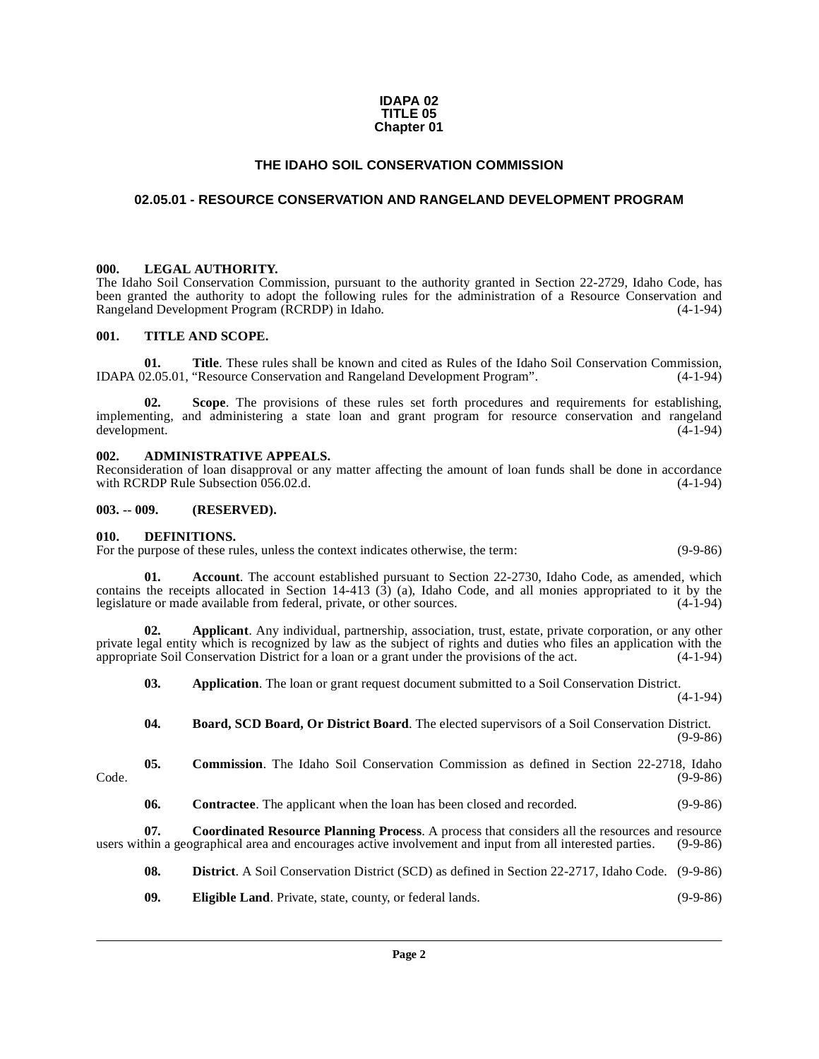#### **IDAPA 02 TITLE 05 Chapter 01**

# **THE IDAHO SOIL CONSERVATION COMMISSION**

## <span id="page-1-0"></span>**02.05.01 - RESOURCE CONSERVATION AND RANGELAND DEVELOPMENT PROGRAM**

#### <span id="page-1-1"></span>**000. LEGAL AUTHORITY.**

The Idaho Soil Conservation Commission, pursuant to the authority granted in Section 22-2729, Idaho Code, has been granted the authority to adopt the following rules for the administration of a Resource Conservation and Rangeland Development Program (RCRDP) in Idaho. (4-1-94) Rangeland Development Program (RCRDP) in Idaho.

#### <span id="page-1-2"></span>**001. TITLE AND SCOPE.**

**01. Title**. These rules shall be known and cited as Rules of the Idaho Soil Conservation Commission, IDAPA 02.05.01, "Resource Conservation and Rangeland Development Program". (4-1-94)

**02.** Scope. The provisions of these rules set forth procedures and requirements for establishing, implementing, and administering a state loan and grant program for resource conservation and rangeland development. (4-1-94)

#### <span id="page-1-3"></span>**002. ADMINISTRATIVE APPEALS.**

Reconsideration of loan disapproval or any matter affecting the amount of loan funds shall be done in accordance with RCRDP Rule Subsection 056.02.d. with RCRDP Rule Subsection 056.02.d.

#### <span id="page-1-4"></span>**003. -- 009. (RESERVED).**

#### <span id="page-1-13"></span><span id="page-1-5"></span>**010. DEFINITIONS.**

For the purpose of these rules, unless the context indicates otherwise, the term: (9-9-86)

<span id="page-1-6"></span>**01. Account**. The account established pursuant to Section 22-2730, Idaho Code, as amended, which contains the receipts allocated in Section 14-413 (3) (a), Idaho Code, and all monies appropriated to it by the legislature or made available from federal, private, or other sources.  $(4-1-94)$ legislature or made available from federal, private, or other sources.

**02. Applicant**. Any individual, partnership, association, trust, estate, private corporation, or any other private legal entity which is recognized by law as the subject of rights and duties who files an application with the appropriate Soil Conservation District for a loan or a grant under the provisions of the act. (4-1-94)

<span id="page-1-8"></span><span id="page-1-7"></span>**03.** Application. The loan or grant request document submitted to a Soil Conservation District. (4-1-94)

<span id="page-1-9"></span>**04. Board, SCD Board, Or District Board**. The elected supervisors of a Soil Conservation District.  $(9-9-86)$ 

<span id="page-1-10"></span>**05. Commission**. The Idaho Soil Conservation Commission as defined in Section 22-2718, Idaho

Code. (9-9-86)

<span id="page-1-12"></span><span id="page-1-11"></span>**06. Contractee**. The applicant when the loan has been closed and recorded. (9-9-86)

**07. Coordinated Resource Planning Process**. A process that considers all the resources and resource thin a geographical area and encourages active involvement and input from all interested parties. (9-9-86) users within a geographical area and encourages active involvement and input from all interested parties.

<span id="page-1-14"></span>**08. District**. A Soil Conservation District (SCD) as defined in Section 22-2717, Idaho Code. (9-9-86)

<span id="page-1-15"></span>**09. Eligible Land**. Private, state, county, or federal lands. (9-9-86)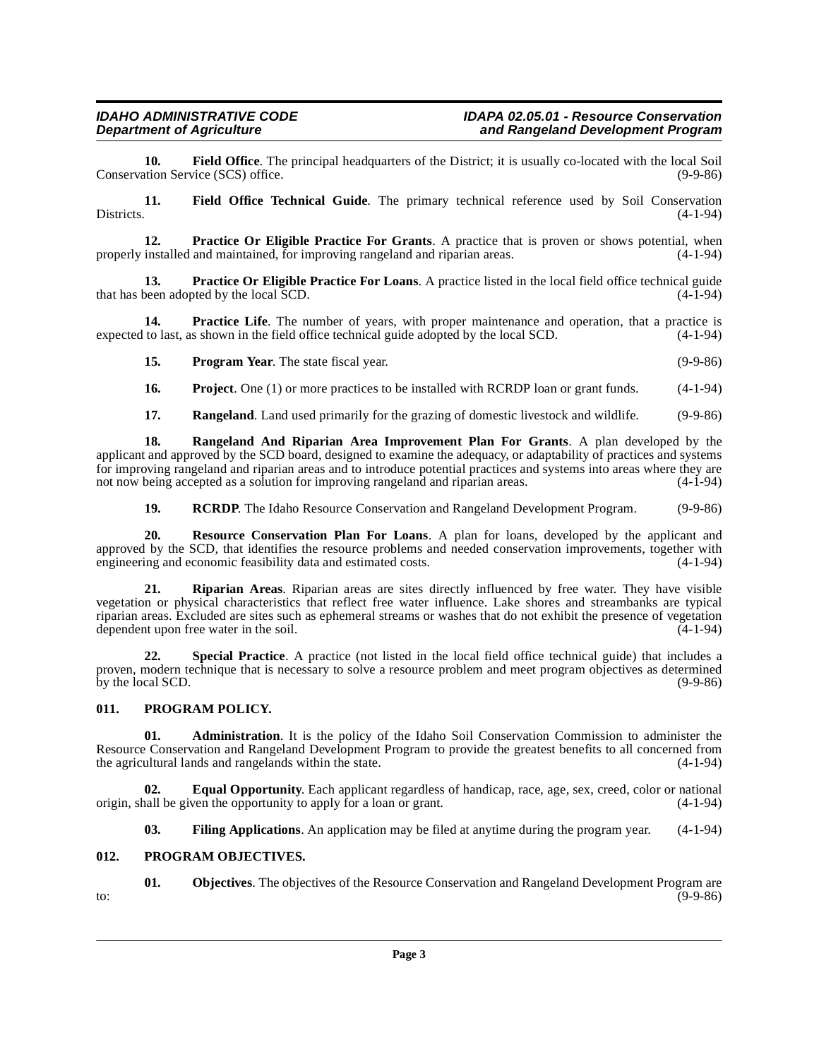<span id="page-2-4"></span>**10. Field Office**. The principal headquarters of the District; it is usually co-located with the local Soil tion Service (SCS) office. Conservation Service (SCS) office.

<span id="page-2-5"></span>**11. Field Office Technical Guide**. The primary technical reference used by Soil Conservation Districts. (4-1-94)

<span id="page-2-9"></span>**12. Practice Or Eligible Practice For Grants**. A practice that is proven or shows potential, when properly installed and maintained, for improving rangeland and riparian areas. (4-1-94)

<span id="page-2-10"></span>**13. Practice Or Eligible Practice For Loans**. A practice listed in the local field office technical guide that has been adopted by the local SCD. (4-1-94)

14. **Practice Life**. The number of years, with proper maintenance and operation, that a practice is expected to last, as shown in the field office technical guide adopted by the local SCD. (4-1-94)

<span id="page-2-13"></span><span id="page-2-8"></span>**15. Program Year**. The state fiscal year. (9-9-86)

<span id="page-2-14"></span>**16. Project**. One (1) or more practices to be installed with RCRDP loan or grant funds. (4-1-94)

<span id="page-2-17"></span><span id="page-2-16"></span>**17. Rangeland**. Land used primarily for the grazing of domestic livestock and wildlife. (9-9-86)

**18. Rangeland And Riparian Area Improvement Plan For Grants**. A plan developed by the applicant and approved by the SCD board, designed to examine the adequacy, or adaptability of practices and systems for improving rangeland and riparian areas and to introduce potential practices and systems into areas where they are not now being accepted as a solution for improving rangeland and riparian areas. (4-1-94)

<span id="page-2-19"></span><span id="page-2-18"></span><span id="page-2-15"></span>**19. RCRDP.** The Idaho Resource Conservation and Rangeland Development Program. (9-9-86)

**20. Resource Conservation Plan For Loans**. A plan for loans, developed by the applicant and approved by the SCD, that identifies the resource problems and needed conservation improvements, together with engineering and economic feasibility data and estimated costs. (4-1-94) engineering and economic feasibility data and estimated costs.

**21. Riparian Areas**. Riparian areas are sites directly influenced by free water. They have visible vegetation or physical characteristics that reflect free water influence. Lake shores and streambanks are typical riparian areas. Excluded are sites such as ephemeral streams or washes that do not exhibit the presence of vegetation dependent upon free water in the soil. (4-1-94) dependent upon free water in the soil.

<span id="page-2-20"></span>**22. Special Practice**. A practice (not listed in the local field office technical guide) that includes a proven, modern technique that is necessary to solve a resource problem and meet program objectives as determined<br>by the local SCD. (9-9-86) by the local SCD.

# <span id="page-2-12"></span><span id="page-2-0"></span>**011. PROGRAM POLICY.**

<span id="page-2-2"></span>**01. Administration**. It is the policy of the Idaho Soil Conservation Commission to administer the Resource Conservation and Rangeland Development Program to provide the greatest benefits to all concerned from<br>the agricultural lands and rangelands within the state. the agricultural lands and rangelands within the state.

**02. Equal Opportunity**. Each applicant regardless of handicap, race, age, sex, creed, color or national origin, shall be given the opportunity to apply for a loan or grant. (4-1-94)

<span id="page-2-11"></span><span id="page-2-7"></span><span id="page-2-6"></span><span id="page-2-3"></span>**03. Filing Applications**. An application may be filed at anytime during the program year. (4-1-94)

#### <span id="page-2-1"></span>**012. PROGRAM OBJECTIVES.**

**01. Objectives**. The objectives of the Resource Conservation and Rangeland Development Program are to:  $(9-9-86)$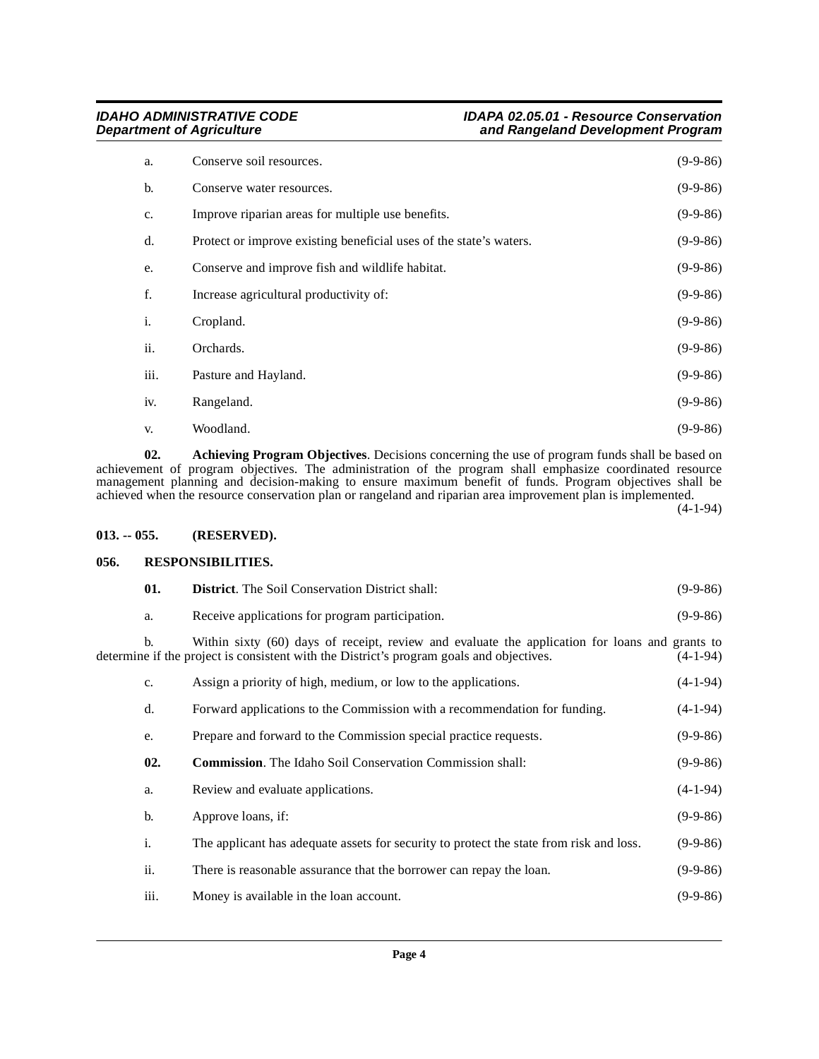| a.             | Conserve soil resources.                                           | $(9-9-86)$ |
|----------------|--------------------------------------------------------------------|------------|
| b.             | Conserve water resources.                                          | $(9-9-86)$ |
| c.             | Improve riparian areas for multiple use benefits.                  | $(9-9-86)$ |
| d.             | Protect or improve existing beneficial uses of the state's waters. | $(9-9-86)$ |
| e.             | Conserve and improve fish and wildlife habitat.                    | $(9-9-86)$ |
| f.             | Increase agricultural productivity of:                             | $(9-9-86)$ |
| $\mathbf{i}$ . | Cropland.                                                          | $(9-9-86)$ |
| ii.            | Orchards.                                                          | $(9-9-86)$ |
| iii.           | Pasture and Hayland.                                               | $(9-9-86)$ |
| iv.            | Rangeland.                                                         | $(9-9-86)$ |
| V.             | Woodland.                                                          | $(9-9-86)$ |

<span id="page-3-2"></span>**02. Achieving Program Objectives**. Decisions concerning the use of program funds shall be based on achievement of program objectives. The administration of the program shall emphasize coordinated resource management planning and decision-making to ensure maximum benefit of funds. Program objectives shall be achieved when the resource conservation plan or rangeland and riparian area improvement plan is implemented.

(4-1-94)

#### <span id="page-3-0"></span>**013. -- 055. (RESERVED).**

# <span id="page-3-5"></span><span id="page-3-1"></span>**056. RESPONSIBILITIES.**

<span id="page-3-4"></span><span id="page-3-3"></span>

| 01.  | <b>District.</b> The Soil Conservation District shall:                                                                                                                                     | $(9-9-86)$ |
|------|--------------------------------------------------------------------------------------------------------------------------------------------------------------------------------------------|------------|
| a.   | Receive applications for program participation.                                                                                                                                            | $(9-9-86)$ |
| b.   | Within sixty (60) days of receipt, review and evaluate the application for loans and grants to<br>determine if the project is consistent with the District's program goals and objectives. | $(4-1-94)$ |
| c.   | Assign a priority of high, medium, or low to the applications.                                                                                                                             | $(4-1-94)$ |
| d.   | Forward applications to the Commission with a recommendation for funding.                                                                                                                  | $(4-1-94)$ |
| e.   | Prepare and forward to the Commission special practice requests.                                                                                                                           | $(9-9-86)$ |
| 02.  | <b>Commission.</b> The Idaho Soil Conservation Commission shall:                                                                                                                           | $(9-9-86)$ |
| a.   | Review and evaluate applications.                                                                                                                                                          | $(4-1-94)$ |
| b.   | Approve loans, if:                                                                                                                                                                         | $(9-9-86)$ |
| i.   | The applicant has adequate assets for security to protect the state from risk and loss.                                                                                                    | $(9-9-86)$ |
| ii.  | There is reasonable assurance that the borrower can repay the loan.                                                                                                                        | $(9-9-86)$ |
| iii. | Money is available in the loan account.                                                                                                                                                    | $(9-9-86)$ |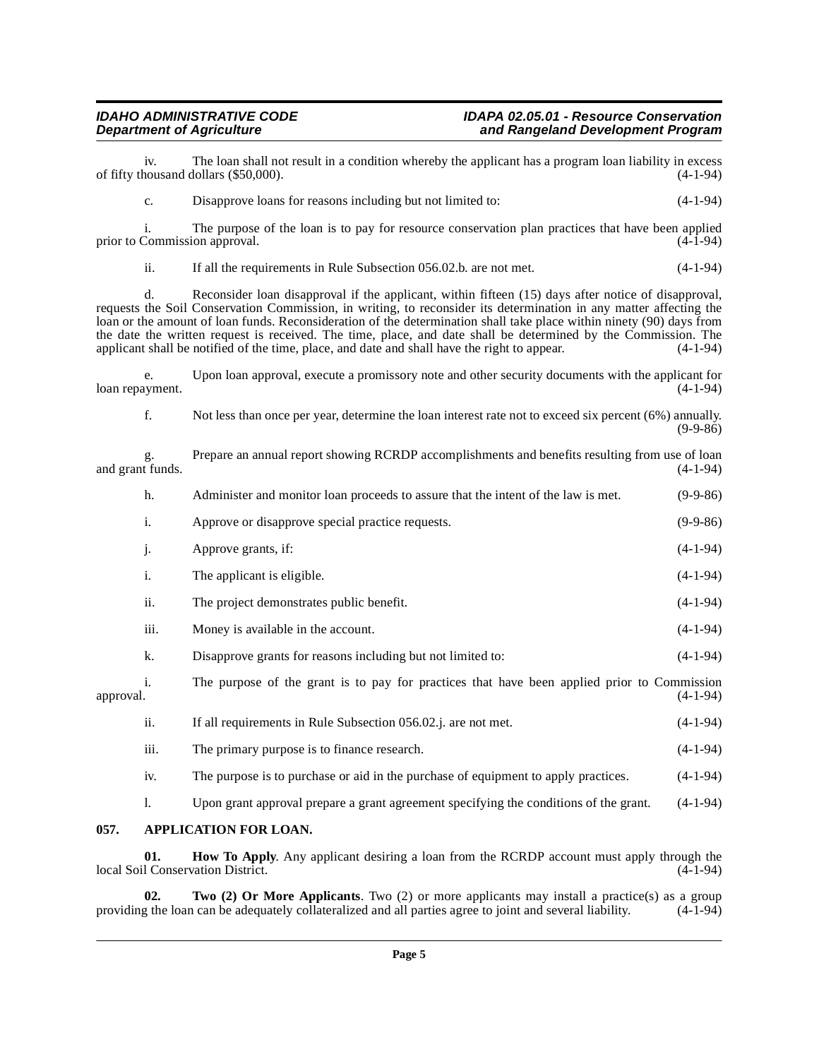#### **IDAHO ADMINISTRATIVE CODE IDAPA 02.05.01 - Resource Conservation** and Rangeland Development Program

iv. The loan shall not result in a condition whereby the applicant has a program loan liability in excess nousand dollars (\$50,000). of fifty thousand dollars (\$50,000).

c. Disapprove loans for reasons including but not limited to: (4-1-94)

i. The purpose of the loan is to pay for resource conservation plan practices that have been applied prior to Commission approval.

ii. If all the requirements in Rule Subsection 056.02.b. are not met. (4-1-94)

d. Reconsider loan disapproval if the applicant, within fifteen (15) days after notice of disapproval, requests the Soil Conservation Commission, in writing, to reconsider its determination in any matter affecting the loan or the amount of loan funds. Reconsideration of the determination shall take place within ninety (90) days from the date the written request is received. The time, place, and date shall be determined by the Commission. The applicant shall be notified of the time, place, and date and shall have the right to appear. (4-1-94)

e. Upon loan approval, execute a promissory note and other security documents with the applicant for loan repayment.

f. Not less than once per year, determine the loan interest rate not to exceed six percent (6%) annually.  $(9-9-86)$ 

g. Prepare an annual report showing RCRDP accomplishments and benefits resulting from use of loan and grant funds.

h. Administer and monitor loan proceeds to assure that the intent of the law is met. (9-9-86)

- i. Approve or disapprove special practice requests. (9-9-86) j. Approve grants, if: (4-1-94) i. The applicant is eligible. (4-1-94)
- 
- ii. The project demonstrates public benefit. (4-1-94) iii. Money is available in the account. (4-1-94)
- 
- k. Disapprove grants for reasons including but not limited to: (4-1-94)
- i. The purpose of the grant is to pay for practices that have been applied prior to Commission approval. (4-1-94) approval. (4-1-94)
	- ii. If all requirements in Rule Subsection 056.02.j. are not met. (4-1-94) iii. The primary purpose is to finance research. (4-1-94) iv. The purpose is to purchase or aid in the purchase of equipment to apply practices. (4-1-94) l. Upon grant approval prepare a grant agreement specifying the conditions of the grant. (4-1-94)

#### <span id="page-4-1"></span><span id="page-4-0"></span>**057. APPLICATION FOR LOAN.**

<span id="page-4-2"></span>**01. How To Apply**. Any applicant desiring a loan from the RCRDP account must apply through the 1 Conservation District. (4-1-94) local Soil Conservation District.

<span id="page-4-3"></span>**02. Two (2) Or More Applicants**. Two (2) or more applicants may install a practice(s) as a group g the loan can be adequately collateralized and all parties agree to joint and several liability. (4-1-94) providing the loan can be adequately collateralized and all parties agree to joint and several liability.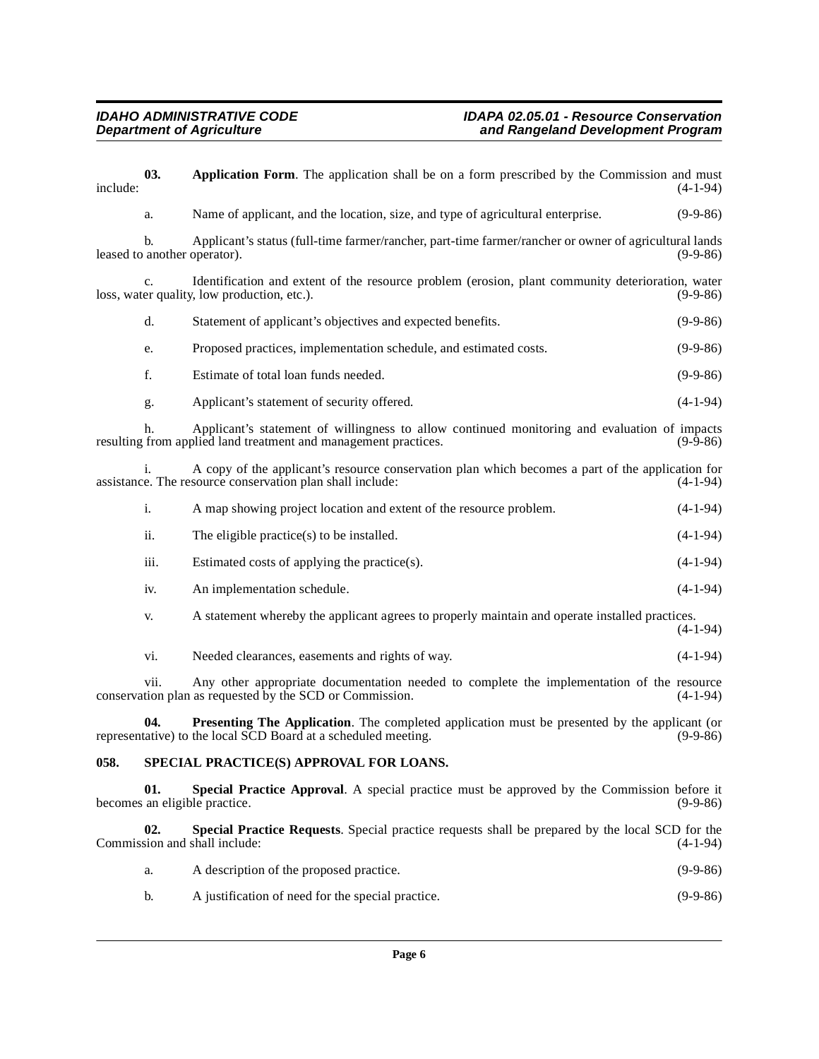<span id="page-5-1"></span>

| include: | 03.            | Application Form. The application shall be on a form prescribed by the Commission and must                                                                            | $(4-1-94)$ |
|----------|----------------|-----------------------------------------------------------------------------------------------------------------------------------------------------------------------|------------|
|          | a.             | Name of applicant, and the location, size, and type of agricultural enterprise.                                                                                       | $(9-9-86)$ |
|          | $\mathbf{b}$ . | Applicant's status (full-time farmer/rancher, part-time farmer/rancher or owner of agricultural lands<br>leased to another operator).                                 | $(9-9-86)$ |
|          | $C_{\star}$    | Identification and extent of the resource problem (erosion, plant community deterioration, water<br>loss, water quality, low production, etc.).                       | $(9-9-86)$ |
|          | d.             | Statement of applicant's objectives and expected benefits.                                                                                                            | $(9-9-86)$ |
|          | e.             | Proposed practices, implementation schedule, and estimated costs.                                                                                                     | $(9-9-86)$ |
|          | f.             | Estimate of total loan funds needed.                                                                                                                                  | $(9-9-86)$ |
|          | g.             | Applicant's statement of security offered.                                                                                                                            | $(4-1-94)$ |
|          | h.             | Applicant's statement of willingness to allow continued monitoring and evaluation of impacts<br>resulting from applied land treatment and management practices.       | $(9-9-86)$ |
|          | i.             | A copy of the applicant's resource conservation plan which becomes a part of the application for<br>assistance. The resource conservation plan shall include:         | $(4-1-94)$ |
|          | $\mathbf{i}$ . | A map showing project location and extent of the resource problem.                                                                                                    | $(4-1-94)$ |
|          | ii.            | The eligible practice $(s)$ to be installed.                                                                                                                          | $(4-1-94)$ |
|          | iii.           | Estimated costs of applying the practice(s).                                                                                                                          | $(4-1-94)$ |
|          | iv.            | An implementation schedule.                                                                                                                                           | $(4-1-94)$ |
|          | V.             | A statement whereby the applicant agrees to properly maintain and operate installed practices.                                                                        | $(4-1-94)$ |
|          | vi.            | Needed clearances, easements and rights of way.                                                                                                                       | $(4-1-94)$ |
|          | vii.           | Any other appropriate documentation needed to complete the implementation of the resource<br>conservation plan as requested by the SCD or Commission.                 | $(4-1-94)$ |
|          | 04.            | <b>Presenting The Application.</b> The completed application must be presented by the applicant (or<br>representative) to the local SCD Board at a scheduled meeting. | $(9-9-86)$ |
| 058.     |                | SPECIAL PRACTICE(S) APPROVAL FOR LOANS.                                                                                                                               |            |
|          | 01.            | Special Practice Approval. A special practice must be approved by the Commission before it<br>becomes an eligible practice.                                           | $(9-9-86)$ |
|          | 02.            | Special Practice Requests. Special practice requests shall be prepared by the local SCD for the<br>Commission and shall include:                                      | $(4-1-94)$ |
|          | a.             | A description of the proposed practice.                                                                                                                               | $(9-9-86)$ |

<span id="page-5-5"></span><span id="page-5-4"></span><span id="page-5-3"></span><span id="page-5-2"></span><span id="page-5-0"></span>b. A justification of need for the special practice. (9-9-86)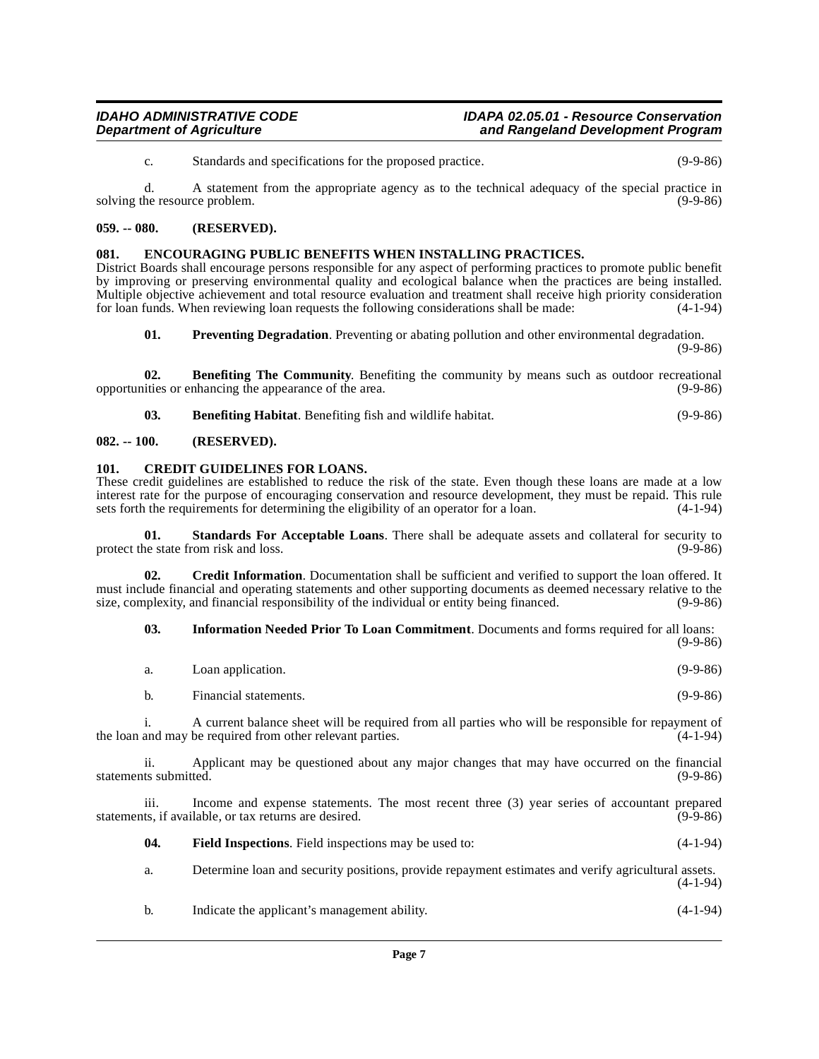#### **IDAHO ADMINISTRATIVE CODE IDAPA 02.05.01 - Resource Conservation** and Rangeland Development Program

c. Standards and specifications for the proposed practice. (9-9-86)

d. A statement from the appropriate agency as to the technical adequacy of the special practice in solving the resource problem. (9-9-86)

## <span id="page-6-0"></span>**059. -- 080. (RESERVED).**

### <span id="page-6-8"></span><span id="page-6-1"></span>**081. ENCOURAGING PUBLIC BENEFITS WHEN INSTALLING PRACTICES.**

District Boards shall encourage persons responsible for any aspect of performing practices to promote public benefit by improving or preserving environmental quality and ecological balance when the practices are being installed. Multiple objective achievement and total resource evaluation and treatment shall receive high priority consideration for loan funds. When reviewing loan requests the following considerations shall be made:  $(4-1-94)$ for loan funds. When reviewing loan requests the following considerations shall be made:

<span id="page-6-11"></span><span id="page-6-5"></span>**01.** Preventing Degradation. Preventing or abating pollution and other environmental degradation.  $(9-9-86)$ 

**02. Benefiting The Community**. Benefiting the community by means such as outdoor recreational ities or enhancing the appearance of the area. (9-9-86) opportunities or enhancing the appearance of the area.

<span id="page-6-6"></span><span id="page-6-4"></span>**03. Benefiting Habitat**. Benefiting fish and wildlife habitat. (9-9-86)

### <span id="page-6-2"></span>**082. -- 100. (RESERVED).**

#### <span id="page-6-3"></span>**101. CREDIT GUIDELINES FOR LOANS.**

These credit guidelines are established to reduce the risk of the state. Even though these loans are made at a low interest rate for the purpose of encouraging conservation and resource development, they must be repaid. This rule sets forth the requirements for determining the eligibility of an operator for a loan.  $(4-1-94)$ sets forth the requirements for determining the eligibility of an operator for a loan.

<span id="page-6-12"></span>**01.** Standards For Acceptable Loans. There shall be adequate assets and collateral for security to protect the state from risk and loss. (9-9-86)

**02. Credit Information**. Documentation shall be sufficient and verified to support the loan offered. It must include financial and operating statements and other supporting documents as deemed necessary relative to the size, complexity, and financial responsibility of the individual or entity being financed. (9-9-86) size, complexity, and financial responsibility of the individual or entity being financed.

<span id="page-6-10"></span><span id="page-6-7"></span>**03. Information Needed Prior To Loan Commitment**. Documents and forms required for all loans:  $(9.98)$ 

|                              |                                                                                                                                                                 | (9-9-00)   |
|------------------------------|-----------------------------------------------------------------------------------------------------------------------------------------------------------------|------------|
| a.                           | Loan application.                                                                                                                                               | $(9-9-86)$ |
| $\mathbf b$ .                | Financial statements.                                                                                                                                           | $(9-9-86)$ |
|                              | A current balance sheet will be required from all parties who will be responsible for repayment of<br>the loan and may be required from other relevant parties. | $(4-1-94)$ |
| 11.<br>statements submitted. | Applicant may be questioned about any major changes that may have occurred on the financial                                                                     | $(9-9-86)$ |
| 111.                         | Income and expense statements. The most recent three (3) year series of accountant prepared<br>statements, if available, or tax returns are desired.            | $(9-9-86)$ |
| 04.                          | <b>Field Inspections.</b> Field inspections may be used to:                                                                                                     | $(4-1-94)$ |
| a.                           | Determine loan and security positions, provide repayment estimates and verify agricultural assets.                                                              | $(4-1-94)$ |
|                              |                                                                                                                                                                 |            |

<span id="page-6-9"></span>b. Indicate the applicant's management ability. (4-1-94)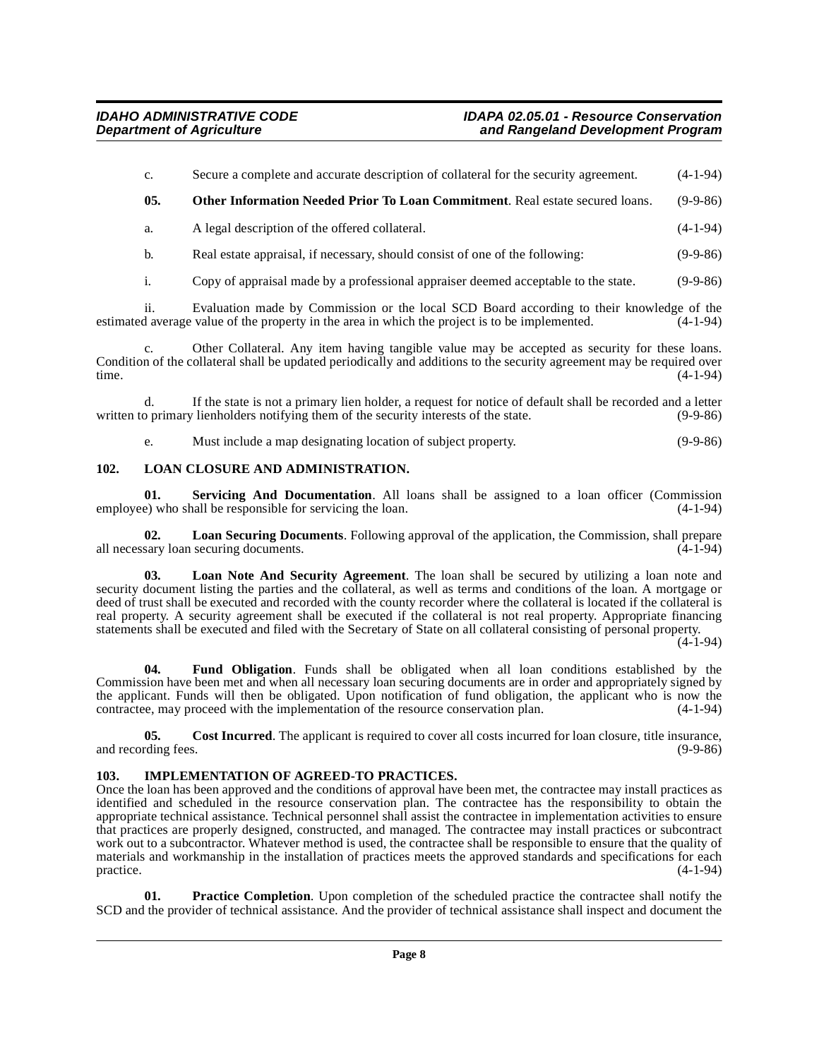<span id="page-7-8"></span>

| C.    | Secure a complete and accurate description of collateral for the security agreement. | $(4-1-94)$ |
|-------|--------------------------------------------------------------------------------------|------------|
| - 05. | <b>Other Information Needed Prior To Loan Commitment.</b> Real estate secured loans. | $(9-9-86)$ |
| а.    | A legal description of the offered collateral.                                       | $(4-1-94)$ |

b. Real estate appraisal, if necessary, should consist of one of the following: (9-9-86)

i. Copy of appraisal made by a professional appraiser deemed acceptable to the state. (9-9-86)

ii. Evaluation made by Commission or the local SCD Board according to their knowledge of the estimated average value of the property in the area in which the project is to be implemented.

Other Collateral. Any item having tangible value may be accepted as security for these loans. Condition of the collateral shall be updated periodically and additions to the security agreement may be required over time. time.  $(4-1-94)$ 

d. If the state is not a primary lien holder, a request for notice of default shall be recorded and a letter written to primary lienholders notifying them of the security interests of the state. (9-9-86)

<span id="page-7-10"></span><span id="page-7-5"></span>e. Must include a map designating location of subject property. (9-9-86)

### <span id="page-7-0"></span>**102. LOAN CLOSURE AND ADMINISTRATION.**

**01.** Servicing And Documentation. All loans shall be assigned to a loan officer (Commission e) who shall be responsible for servicing the loan.  $(4-1-94)$ employee) who shall be responsible for servicing the loan.

<span id="page-7-7"></span>**02.** Loan Securing Documents. Following approval of the application, the Commission, shall prepare sary loan securing documents. (4-1-94) all necessary loan securing documents.

<span id="page-7-6"></span>**03. Loan Note And Security Agreement**. The loan shall be secured by utilizing a loan note and security document listing the parties and the collateral, as well as terms and conditions of the loan. A mortgage or deed of trust shall be executed and recorded with the county recorder where the collateral is located if the collateral is real property. A security agreement shall be executed if the collateral is not real property. Appropriate financing statements shall be executed and filed with the Secretary of State on all collateral consisting of personal property.

 $(4-1-94)$ 

<span id="page-7-3"></span>**04. Fund Obligation**. Funds shall be obligated when all loan conditions established by the Commission have been met and when all necessary loan securing documents are in order and appropriately signed by the applicant. Funds will then be obligated. Upon notification of fund obligation, the applicant who is now the contractee, may proceed with the implementation of the resource conservation plan. (4-1-94)

<span id="page-7-2"></span>**05.** Cost Incurred. The applicant is required to cover all costs incurred for loan closure, title insurance, reding fees. (9-9-86) and recording fees.

# <span id="page-7-4"></span><span id="page-7-1"></span>**103. IMPLEMENTATION OF AGREED-TO PRACTICES.**

Once the loan has been approved and the conditions of approval have been met, the contractee may install practices as identified and scheduled in the resource conservation plan. The contractee has the responsibility to obtain the appropriate technical assistance. Technical personnel shall assist the contractee in implementation activities to ensure that practices are properly designed, constructed, and managed. The contractee may install practices or subcontract work out to a subcontractor. Whatever method is used, the contractee shall be responsible to ensure that the quality of materials and workmanship in the installation of practices meets the approved standards and specifications for each  $practive.$  (4-1-94)

<span id="page-7-9"></span>**01. Practice Completion**. Upon completion of the scheduled practice the contractee shall notify the SCD and the provider of technical assistance. And the provider of technical assistance shall inspect and document the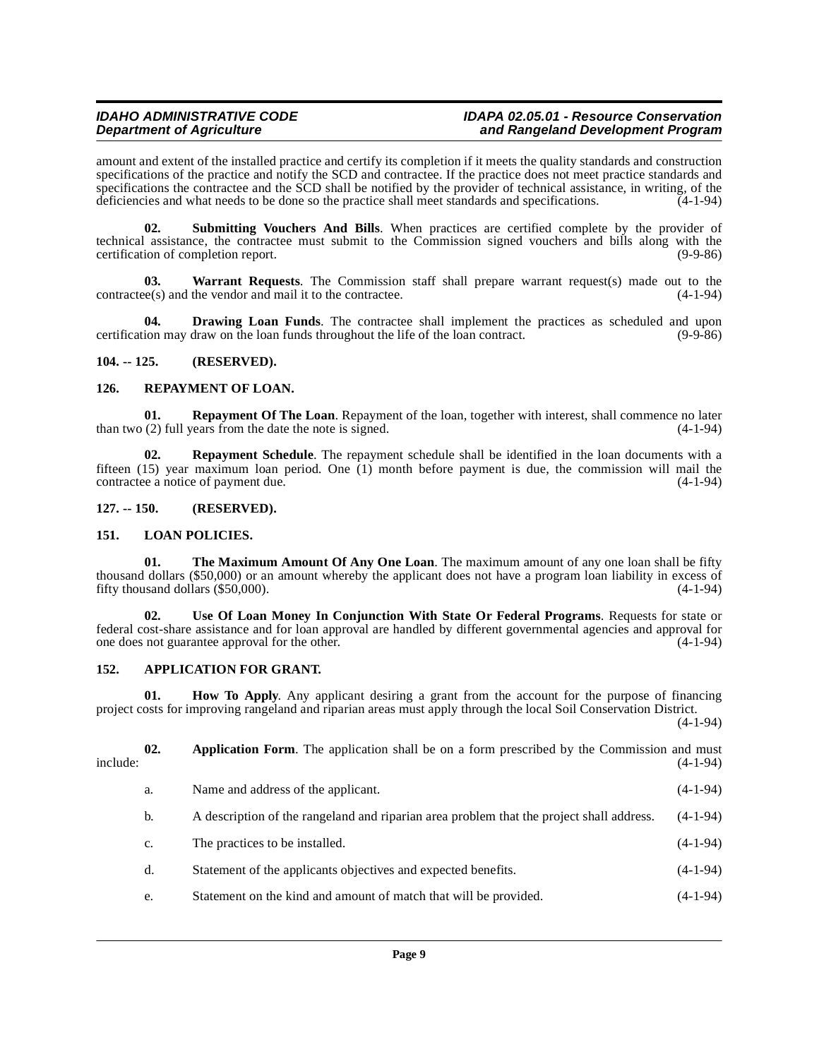#### **IDAHO ADMINISTRATIVE CODE IDAPA 02.05.01 - Resource Conservation** and Rangeland Development Program

amount and extent of the installed practice and certify its completion if it meets the quality standards and construction specifications of the practice and notify the SCD and contractee. If the practice does not meet practice standards and specifications the contractee and the SCD shall be notified by the provider of technical assistance, in writing, of the deficiencies and what needs to be done so the practice shall meet standards and specifications. (4-1-94)

<span id="page-8-12"></span>**02. Submitting Vouchers And Bills**. When practices are certified complete by the provider of technical assistance, the contractee must submit to the Commission signed vouchers and bills along with the certification of completion report. (9-9-86)

<span id="page-8-15"></span>**03.** Warrant Requests. The Commission staff shall prepare warrant request(s) made out to the ee(s) and the vendor and mail it to the contractee. (4-1-94)  $contractee(s)$  and the vendor and mail it to the contractee.

<span id="page-8-7"></span>**04. Drawing Loan Funds**. The contractee shall implement the practices as scheduled and upon certification may draw on the loan funds throughout the life of the loan contract. (9-9-86)

#### <span id="page-8-0"></span>**104. -- 125. (RESERVED).**

### <span id="page-8-10"></span><span id="page-8-1"></span>**126. REPAYMENT OF LOAN.**

**01. Repayment Of The Loan**. Repayment of the loan, together with interest, shall commence no later (2) full years from the date the note is signed. (4-1-94) than two  $(2)$  full years from the date the note is signed.

<span id="page-8-11"></span>**02. Repayment Schedule**. The repayment schedule shall be identified in the loan documents with a fifteen (15) year maximum loan period. One (1) month before payment is due, the commission will mail the contractee a notice of payment due. (4-1-94)

#### <span id="page-8-2"></span>**127. -- 150. (RESERVED).**

#### <span id="page-8-9"></span><span id="page-8-3"></span>**151. LOAN POLICIES.**

<span id="page-8-13"></span>**01. The Maximum Amount Of Any One Loan**. The maximum amount of any one loan shall be fifty thousand dollars (\$50,000) or an amount whereby the applicant does not have a program loan liability in excess of fifty thousand dollars  $(\$50,000)$ .  $(4-1-94)$ 

<span id="page-8-14"></span>**02. Use Of Loan Money In Conjunction With State Or Federal Programs**. Requests for state or federal cost-share assistance and for loan approval are handled by different governmental agencies and approval for one does not guarantee approval for the other. (4-1-94)

# <span id="page-8-5"></span><span id="page-8-4"></span>**152. APPLICATION FOR GRANT.**

<span id="page-8-8"></span>**01. How To Apply**. Any applicant desiring a grant from the account for the purpose of financing project costs for improving rangeland and riparian areas must apply through the local Soil Conservation District.

(4-1-94)

<span id="page-8-6"></span>

| include: | 02. | Application Form. The application shall be on a form prescribed by the Commission and must | $(4-1-94)$ |
|----------|-----|--------------------------------------------------------------------------------------------|------------|
|          | a.  | Name and address of the applicant.                                                         | $(4-1-94)$ |
|          | b.  | A description of the rangeland and riparian area problem that the project shall address.   | $(4-1-94)$ |
|          | c.  | The practices to be installed.                                                             | $(4-1-94)$ |
|          | d.  | Statement of the applicants objectives and expected benefits.                              | $(4-1-94)$ |
|          | e.  | Statement on the kind and amount of match that will be provided.                           | $(4-1-94)$ |
|          |     |                                                                                            |            |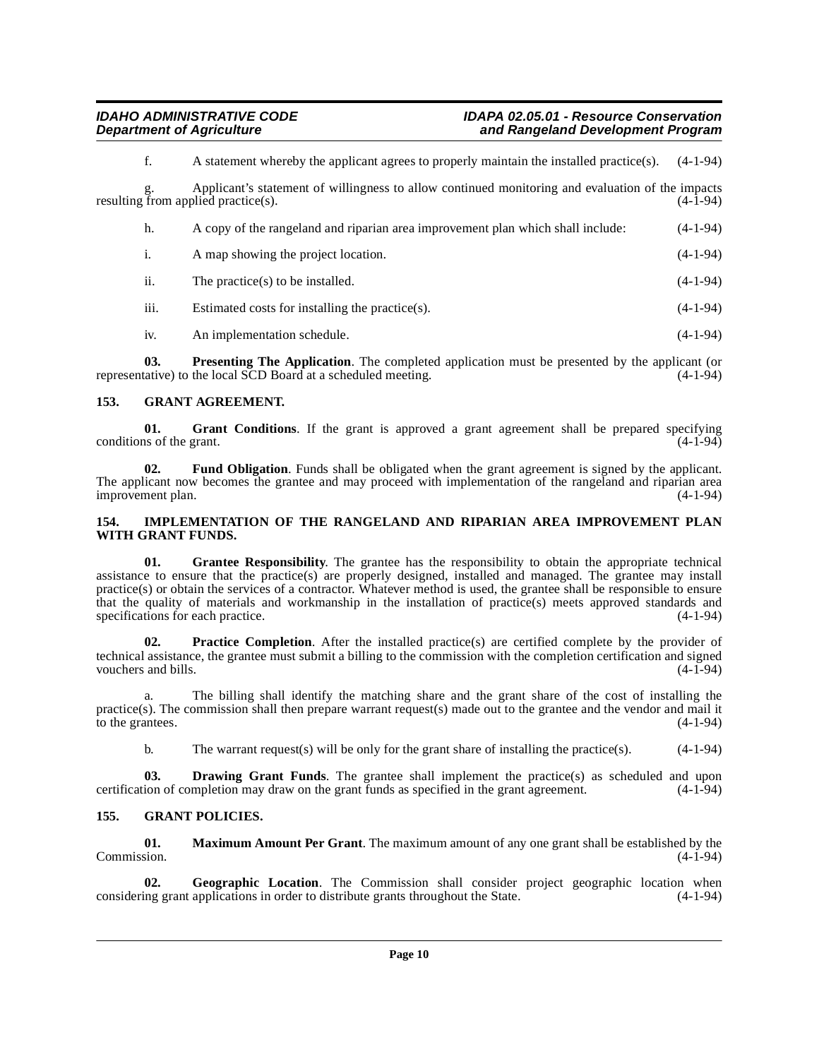f. A statement whereby the applicant agrees to properly maintain the installed practice(s). (4-1-94)

Applicant's statement of willingness to allow continued monitoring and evaluation of the impacts resulting from applied practice(s).  $(4-\overline{1}-94)$ 

| h.               | A copy of the rangeland and riparian area improvement plan which shall include: | $(4-1-94)$ |
|------------------|---------------------------------------------------------------------------------|------------|
| $\overline{1}$ . | A map showing the project location.                                             | $(4-1-94)$ |
| ii.              | The practice(s) to be installed.                                                | $(4-1-94)$ |

iii. Estimated costs for installing the practice(s). (4-1-94)

<span id="page-9-13"></span>iv. An implementation schedule. (4-1-94)

**03. Presenting The Application**. The completed application must be presented by the applicant (or tative) to the local SCD Board at a scheduled meeting. (4-1-94) representative) to the local SCD Board at a scheduled meeting.

# <span id="page-9-6"></span><span id="page-9-0"></span>**153. GRANT AGREEMENT.**

<span id="page-9-7"></span>**01.** Grant Conditions. If the grant is approved a grant agreement shall be prepared specifying is of the grant. (4-1-94) conditions of the grant.

<span id="page-9-4"></span>**02. Fund Obligation**. Funds shall be obligated when the grant agreement is signed by the applicant. The applicant now becomes the grantee and may proceed with implementation of the rangeland and riparian area improvement plan. (4-1-94) improvement plan.

### <span id="page-9-10"></span><span id="page-9-1"></span>**154. IMPLEMENTATION OF THE RANGELAND AND RIPARIAN AREA IMPROVEMENT PLAN WITH GRANT FUNDS.**

<span id="page-9-9"></span>**01. Grantee Responsibility**. The grantee has the responsibility to obtain the appropriate technical assistance to ensure that the practice(s) are properly designed, installed and managed. The grantee may install practice(s) or obtain the services of a contractor. Whatever method is used, the grantee shall be responsible to ensure that the quality of materials and workmanship in the installation of practice(s) meets approved standards and specifications for each practice.

<span id="page-9-12"></span>**02. Practice Completion**. After the installed practice(s) are certified complete by the provider of technical assistance, the grantee must submit a billing to the commission with the completion certification and signed vouchers and bills.

a. The billing shall identify the matching share and the grant share of the cost of installing the practice(s). The commission shall then prepare warrant request(s) made out to the grantee and the vendor and mail it to the grantees.  $(4-1-94)$ 

<span id="page-9-3"></span>b. The warrant request(s) will be only for the grant share of installing the practice(s). (4-1-94)

**03. Drawing Grant Funds**. The grantee shall implement the practice(s) as scheduled and upon certification of completion may draw on the grant funds as specified in the grant agreement. (4-1-94)

# <span id="page-9-8"></span><span id="page-9-2"></span>**155. GRANT POLICIES.**

<span id="page-9-11"></span>**01. Maximum Amount Per Grant**. The maximum amount of any one grant shall be established by the Commission. (4-1-94) Commission. (4-1-94)

<span id="page-9-5"></span>**02. Geographic Location**. The Commission shall consider project geographic location when ing grant applications in order to distribute grants throughout the State. (4-1-94) considering grant applications in order to distribute grants throughout the State.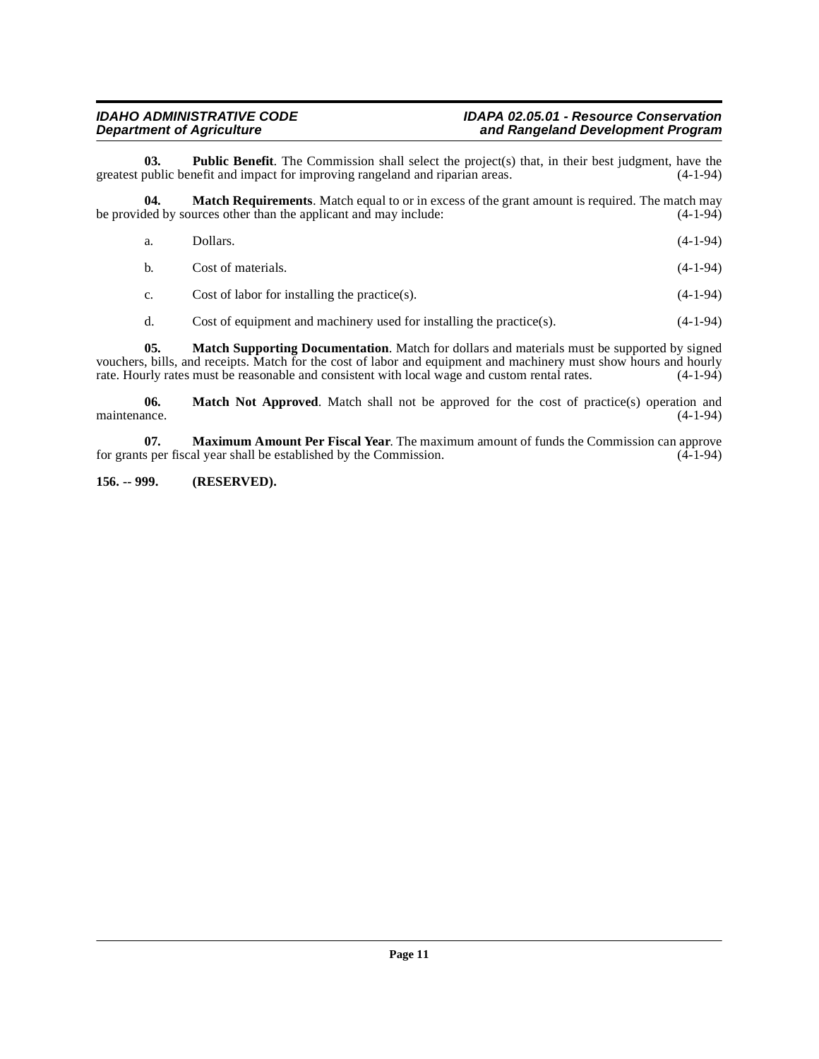<span id="page-10-5"></span>**03. Public Benefit**. The Commission shall select the project(s) that, in their best judgment, have the public benefit and impact for improving rangeland and riparian areas. (4-1-94) greatest public benefit and impact for improving rangeland and riparian areas.

**04. Match Requirements**. Match equal to or in excess of the grant amount is required. The match may ded by sources other than the applicant and may include: be provided by sources other than the applicant and may include:

<span id="page-10-2"></span>

| a.           | Dollars.                                          | $(4-1-94)$ |
|--------------|---------------------------------------------------|------------|
| $\mathbf{b}$ | Cost of materials.                                | $(4-1-94)$ |
| $c_{\cdot}$  | Cost of labor for installing the practice $(s)$ . | $(4-1-94)$ |

<span id="page-10-3"></span><span id="page-10-1"></span>d. Cost of equipment and machinery used for installing the practice(s). (4-1-94)

**05. Match Supporting Documentation**. Match for dollars and materials must be supported by signed vouchers, bills, and receipts. Match for the cost of labor and equipment and machinery must show hours and hourly rate. Hourly rates must be reasonable and consistent with local wage and custom rental rates. (4-1-94) rate. Hourly rates must be reasonable and consistent with local wage and custom rental rates.

**06.** Match Not Approved. Match shall not be approved for the cost of practice(s) operation and maintenance. (4-1-94) maintenance. (4-1-94)

<span id="page-10-4"></span>**07.** Maximum Amount Per Fiscal Year. The maximum amount of funds the Commission can approve s per fiscal year shall be established by the Commission. (4-1-94) for grants per fiscal year shall be established by the Commission.

### <span id="page-10-0"></span>**156. -- 999. (RESERVED).**